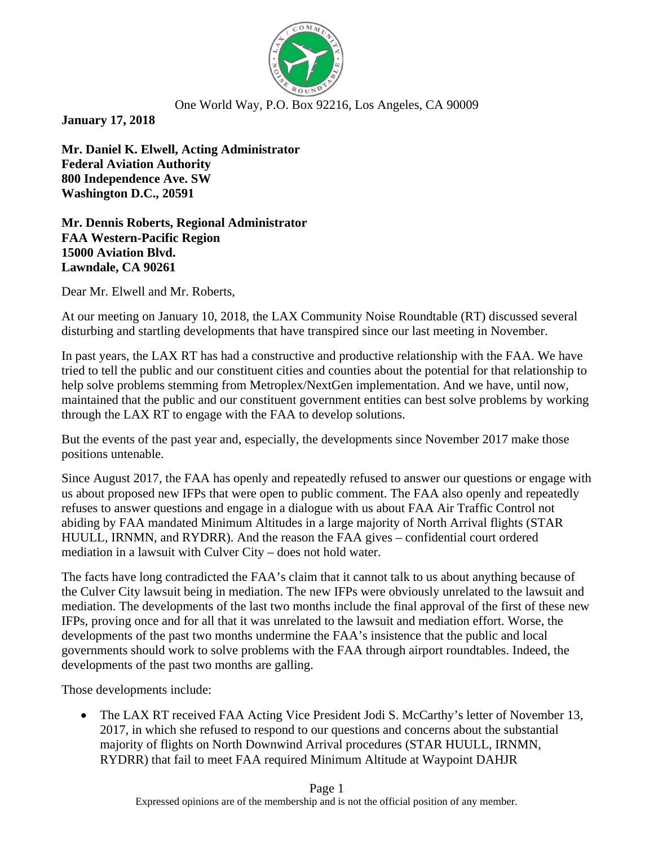

## One World Way, P.O. Box 92216, Los Angeles, CA 90009

**January 17, 2018**

**Mr. Daniel K. Elwell, Acting Administrator Federal Aviation Authority 800 Independence Ave. SW Washington D.C., 20591**

**Mr. Dennis Roberts, Regional Administrator FAA Western-Pacific Region 15000 Aviation Blvd. Lawndale, CA 90261**

Dear Mr. Elwell and Mr. Roberts,

At our meeting on January 10, 2018, the LAX Community Noise Roundtable (RT) discussed several disturbing and startling developments that have transpired since our last meeting in November.

In past years, the LAX RT has had a constructive and productive relationship with the FAA. We have tried to tell the public and our constituent cities and counties about the potential for that relationship to help solve problems stemming from Metroplex/NextGen implementation. And we have, until now, maintained that the public and our constituent government entities can best solve problems by working through the LAX RT to engage with the FAA to develop solutions.

But the events of the past year and, especially, the developments since November 2017 make those positions untenable.

Since August 2017, the FAA has openly and repeatedly refused to answer our questions or engage with us about proposed new IFPs that were open to public comment. The FAA also openly and repeatedly refuses to answer questions and engage in a dialogue with us about FAA Air Traffic Control not abiding by FAA mandated Minimum Altitudes in a large majority of North Arrival flights (STAR HUULL, IRNMN, and RYDRR). And the reason the FAA gives – confidential court ordered mediation in a lawsuit with Culver City – does not hold water.

The facts have long contradicted the FAA's claim that it cannot talk to us about anything because of the Culver City lawsuit being in mediation. The new IFPs were obviously unrelated to the lawsuit and mediation. The developments of the last two months include the final approval of the first of these new IFPs, proving once and for all that it was unrelated to the lawsuit and mediation effort. Worse, the developments of the past two months undermine the FAA's insistence that the public and local governments should work to solve problems with the FAA through airport roundtables. Indeed, the developments of the past two months are galling.

Those developments include:

• The LAX RT received FAA Acting Vice President Jodi S. McCarthy's letter of November 13, 2017, in which she refused to respond to our questions and concerns about the substantial majority of flights on North Downwind Arrival procedures (STAR HUULL, IRNMN, RYDRR) that fail to meet FAA required Minimum Altitude at Waypoint DAHJR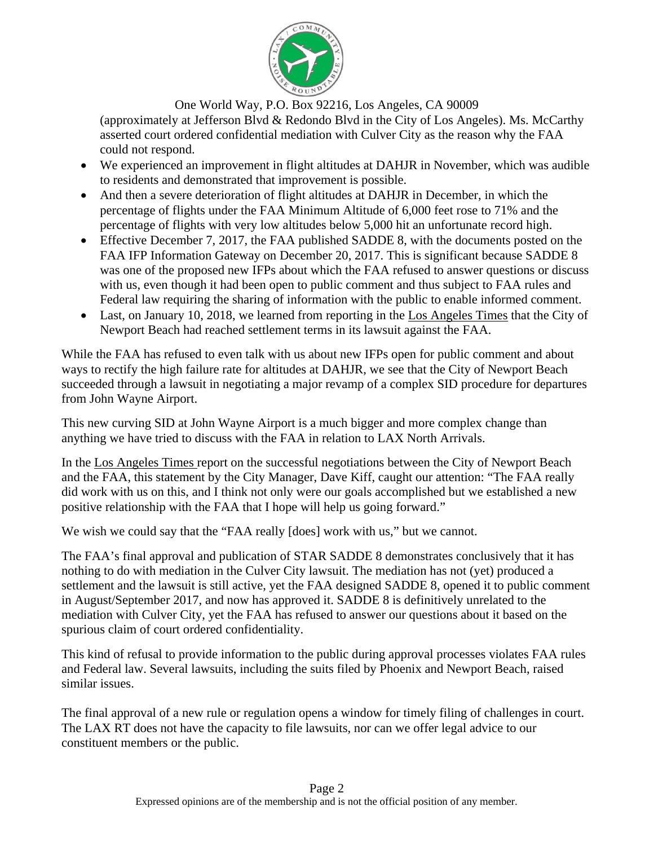

One World Way, P.O. Box 92216, Los Angeles, CA 90009

(approximately at Jefferson Blvd & Redondo Blvd in the City of Los Angeles). Ms. McCarthy asserted court ordered confidential mediation with Culver City as the reason why the FAA could not respond.

- We experienced an improvement in flight altitudes at DAHJR in November, which was audible to residents and demonstrated that improvement is possible.
- And then a severe deterioration of flight altitudes at DAHJR in December, in which the percentage of flights under the FAA Minimum Altitude of 6,000 feet rose to 71% and the percentage of flights with very low altitudes below 5,000 hit an unfortunate record high.
- Effective December 7, 2017, the FAA published SADDE 8, with the documents posted on the FAA IFP Information Gateway on December 20, 2017. This is significant because SADDE 8 was one of the proposed new IFPs about which the FAA refused to answer questions or discuss with us, even though it had been open to public comment and thus subject to FAA rules and Federal law requiring the sharing of information with the public to enable informed comment.
- Last, on January 10, 2018, we learned from reporting in the Los Angeles Times that the City of Newport Beach had reached settlement terms in its lawsuit against the FAA.

While the FAA has refused to even talk with us about new IFPs open for public comment and about ways to rectify the high failure rate for altitudes at DAHJR, we see that the City of Newport Beach succeeded through a lawsuit in negotiating a major revamp of a complex SID procedure for departures from John Wayne Airport.

This new curving SID at John Wayne Airport is a much bigger and more complex change than anything we have tried to discuss with the FAA in relation to LAX North Arrivals.

In the Los Angeles Times report on the successful negotiations between the City of Newport Beach and the FAA, this statement by the City Manager, Dave Kiff, caught our attention: "The FAA really did work with us on this, and I think not only were our goals accomplished but we established a new positive relationship with the FAA that I hope will help us going forward."

We wish we could say that the "FAA really [does] work with us," but we cannot.

The FAA's final approval and publication of STAR SADDE 8 demonstrates conclusively that it has nothing to do with mediation in the Culver City lawsuit. The mediation has not (yet) produced a settlement and the lawsuit is still active, yet the FAA designed SADDE 8, opened it to public comment in August/September 2017, and now has approved it. SADDE 8 is definitively unrelated to the mediation with Culver City, yet the FAA has refused to answer our questions about it based on the spurious claim of court ordered confidentiality.

This kind of refusal to provide information to the public during approval processes violates FAA rules and Federal law. Several lawsuits, including the suits filed by Phoenix and Newport Beach, raised similar issues.

The final approval of a new rule or regulation opens a window for timely filing of challenges in court. The LAX RT does not have the capacity to file lawsuits, nor can we offer legal advice to our constituent members or the public.